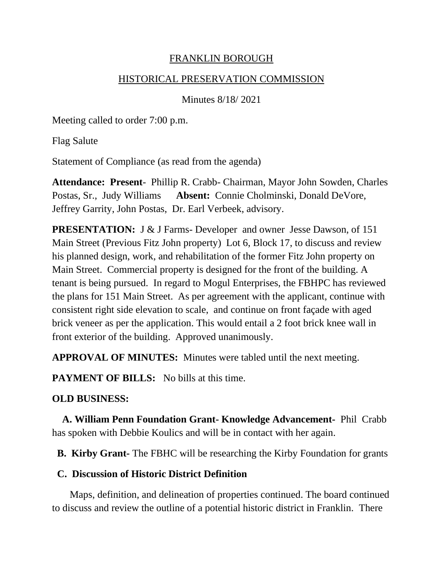#### FRANKLIN BOROUGH

#### HISTORICAL PRESERVATION COMMISSION

Minutes 8/18/ 2021

Meeting called to order 7:00 p.m.

Flag Salute

Statement of Compliance (as read from the agenda)

**Attendance: Present**- Phillip R. Crabb- Chairman, Mayor John Sowden, Charles Postas, Sr., Judy Williams **Absent:** Connie Cholminski, Donald DeVore, Jeffrey Garrity, John Postas, Dr. Earl Verbeek, advisory.

**PRESENTATION:** J & J Farms- Developer and owner Jesse Dawson, of 151 Main Street (Previous Fitz John property) Lot 6, Block 17, to discuss and review his planned design, work, and rehabilitation of the former Fitz John property on Main Street. Commercial property is designed for the front of the building. A tenant is being pursued. In regard to Mogul Enterprises, the FBHPC has reviewed the plans for 151 Main Street. As per agreement with the applicant, continue with consistent right side elevation to scale, and continue on front façade with aged brick veneer as per the application. This would entail a 2 foot brick knee wall in front exterior of the building. Approved unanimously.

**APPROVAL OF MINUTES:** Minutes were tabled until the next meeting.

**PAYMENT OF BILLS:** No bills at this time.

### **OLD BUSINESS:**

 **A. William Penn Foundation Grant- Knowledge Advancement-** Phil Crabb has spoken with Debbie Koulics and will be in contact with her again.

 **B. Kirby Grant-** The FBHC will be researching the Kirby Foundation for grants

### **C. Discussion of Historic District Definition**

Maps, definition, and delineation of properties continued. The board continued to discuss and review the outline of a potential historic district in Franklin. There